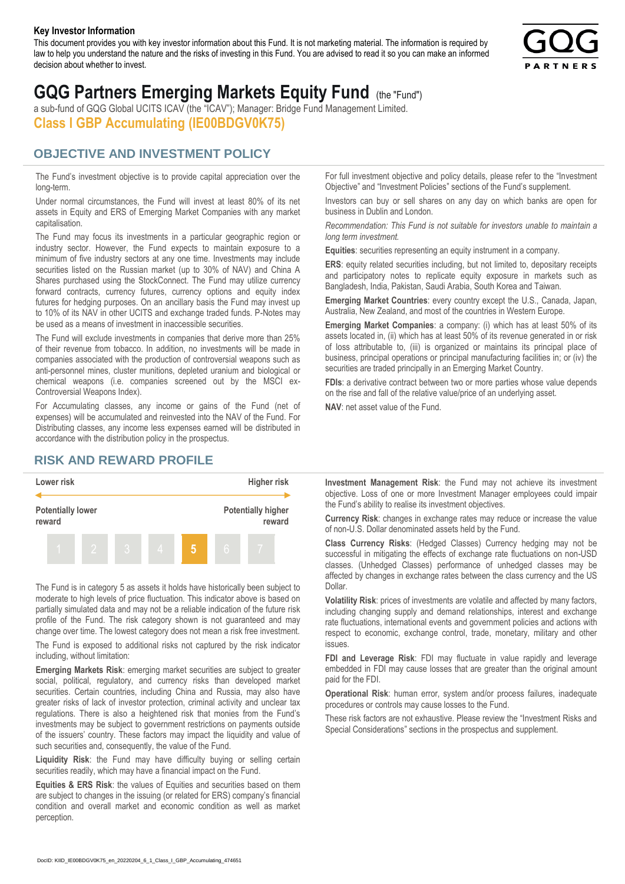#### **Key Investor Information**

This document provides you with key investor information about this Fund. It is not marketing material. The information is required by law to help you understand the nature and the risks of investing in this Fund. You are advised to read it so you can make an informed decision about whether to invest.



# **GQG Partners Emerging Markets Equity Fund** (the "Fund")

a sub-fund of GQG Global UCITS ICAV (the "ICAV"); Manager: Bridge Fund Management Limited. **Class I GBP Accumulating (IE00BDGV0K75)**

### **OBJECTIVE AND INVESTMENT POLICY**

The Fund's investment objective is to provide capital appreciation over the long-term.

Under normal circumstances, the Fund will invest at least 80% of its net assets in Equity and ERS of Emerging Market Companies with any market capitalisation.

The Fund may focus its investments in a particular geographic region or industry sector. However, the Fund expects to maintain exposure to a minimum of five industry sectors at any one time. Investments may include securities listed on the Russian market (up to 30% of NAV) and China A Shares purchased using the StockConnect. The Fund may utilize currency forward contracts, currency futures, currency options and equity index futures for hedging purposes. On an ancillary basis the Fund may invest up to 10% of its NAV in other UCITS and exchange traded funds. P-Notes may be used as a means of investment in inaccessible securities.

The Fund will exclude investments in companies that derive more than 25% of their revenue from tobacco. In addition, no investments will be made in companies associated with the production of controversial weapons such as anti-personnel mines, cluster munitions, depleted uranium and biological or chemical weapons (i.e. companies screened out by the MSCI ex-Controversial Weapons Index).

For Accumulating classes, any income or gains of the Fund (net of expenses) will be accumulated and reinvested into the NAV of the Fund. For Distributing classes, any income less expenses earned will be distributed in accordance with the distribution policy in the prospectus.

## **RISK AND REWARD PROFILE**



The Fund is in category 5 as assets it holds have historically been subject to moderate to high levels of price fluctuation. This indicator above is based on partially simulated data and may not be a reliable indication of the future risk profile of the Fund. The risk category shown is not guaranteed and may change over time. The lowest category does not mean a risk free investment.

The Fund is exposed to additional risks not captured by the risk indicator including, without limitation:

**Emerging Markets Risk**: emerging market securities are subject to greater social, political, regulatory, and currency risks than developed market securities. Certain countries, including China and Russia, may also have greater risks of lack of investor protection, criminal activity and unclear tax regulations. There is also a heightened risk that monies from the Fund's investments may be subject to government restrictions on payments outside of the issuers' country. These factors may impact the liquidity and value of such securities and, consequently, the value of the Fund.

**Liquidity Risk**: the Fund may have difficulty buying or selling certain securities readily, which may have a financial impact on the Fund.

**Equities & ERS Risk**: the values of Equities and securities based on them are subject to changes in the issuing (or related for ERS) company's financial condition and overall market and economic condition as well as market perception.

For full investment objective and policy details, please refer to the "Investment Objective" and "Investment Policies" sections of the Fund's supplement.

Investors can buy or sell shares on any day on which banks are open for business in Dublin and London.

*Recommendation: This Fund is not suitable for investors unable to maintain a long term investment.*

**Equities**: securities representing an equity instrument in a company.

**ERS:** equity related securities including, but not limited to, depositary receipts and participatory notes to replicate equity exposure in markets such as Bangladesh, India, Pakistan, Saudi Arabia, South Korea and Taiwan.

**Emerging Market Countries**: every country except the U.S., Canada, Japan, Australia, New Zealand, and most of the countries in Western Europe.

**Emerging Market Companies**: a company: (i) which has at least 50% of its assets located in, (ii) which has at least 50% of its revenue generated in or risk of loss attributable to, (iii) is organized or maintains its principal place of business, principal operations or principal manufacturing facilities in; or (iv) the securities are traded principally in an Emerging Market Country.

**FDIs**: a derivative contract between two or more parties whose value depends on the rise and fall of the relative value/price of an underlying asset.

**NAV**: net asset value of the Fund.

**Investment Management Risk**: the Fund may not achieve its investment objective. Loss of one or more Investment Manager employees could impair the Fund's ability to realise its investment objectives.

**Currency Risk**: changes in exchange rates may reduce or increase the value of non-U.S. Dollar denominated assets held by the Fund.

**Class Currency Risks**: (Hedged Classes) Currency hedging may not be successful in mitigating the effects of exchange rate fluctuations on non-USD classes. (Unhedged Classes) performance of unhedged classes may be affected by changes in exchange rates between the class currency and the US Dollar.

**Volatility Risk**: prices of investments are volatile and affected by many factors, including changing supply and demand relationships, interest and exchange rate fluctuations, international events and government policies and actions with respect to economic, exchange control, trade, monetary, military and other issues.

**FDI and Leverage Risk**: FDI may fluctuate in value rapidly and leverage embedded in FDI may cause losses that are greater than the original amount paid for the FDI.

**Operational Risk**: human error, system and/or process failures, inadequate procedures or controls may cause losses to the Fund.

These risk factors are not exhaustive. Please review the "Investment Risks and Special Considerations" sections in the prospectus and supplement.